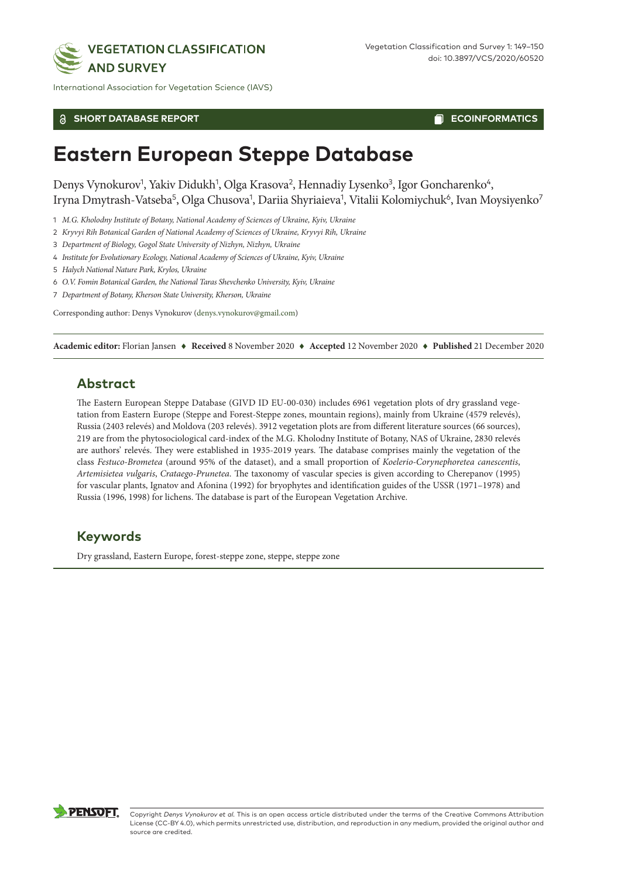

International Association for Vegetation Science (IAVS)

#### **SHORT DATABASE REPORT**

**ECOINFORMATICS** 

# **Eastern European Steppe Database**

Denys Vynokurov<sup>1</sup>, Yakiv Didukh<sup>1</sup>, Olga Krasova<sup>2</sup>, Hennadiy Lysenko<sup>3</sup>, Igor Goncharenko<sup>4</sup>, Iryna Dmytrash-Vatseba<sup>5</sup>, Olga Chusova<sup>1</sup>, Dariia Shyriaieva<sup>1</sup>, Vitalii Kolomiychuk<sup>6</sup>, Ivan Moysiyenko<sup>7</sup>

- 1 *M.G. Kholodny Institute of Botany, National Academy of Sciences of Ukraine, Kyiv, Ukraine*
- 2 *Kryvyi Rih Botanical Garden of National Academy of Sciences of Ukraine, Kryvyi Rih, Ukraine*
- 3 *Department of Biology, Gogol State University of Nizhyn, Nizhyn, Ukraine*
- 4 *Institute for Evolutionary Ecology, National Academy of Sciences of Ukraine, Kyiv, Ukraine*

5 *Halych National Nature Park, Krylos, Ukraine*

- 6 *O.V. Fomin Botanical Garden, the National Taras Shevchenko University, Kyiv, Ukraine*
- 7 *Department of Botany, Kherson State University, Kherson, Ukraine*

Corresponding author: Denys Vynokurov ([denys.vynokurov@gmail.com](mailto:denys.vynokurov@gmail.com))

**Academic editor:** Florian Jansen ♦ **Received** 8 November 2020 ♦ **Accepted** 12 November 2020 ♦ **Published** 21 December 2020

## **Abstract**

The Eastern European Steppe Database (GIVD ID EU-00-030) includes 6961 vegetation plots of dry grassland vegetation from Eastern Europe (Steppe and Forest-Steppe zones, mountain regions), mainly from Ukraine (4579 relevés), Russia (2403 relevés) and Moldova (203 relevés). 3912 vegetation plots are from different literature sources (66 sources), 219 are from the phytosociological card-index of the M.G. Kholodny Institute of Botany, NAS of Ukraine, 2830 relevés are authors' relevés. They were established in 1935-2019 years. The database comprises mainly the vegetation of the class *Festuco-Brometea* (around 95% of the dataset), and a small proportion of *Koelerio-Corynephoretea canescentis*, *Artemisietea vulgaris*, *Crataego-Prunetea*. The taxonomy of vascular species is given according to Cherepanov (1995) for vascular plants, Ignatov and Afonina (1992) for bryophytes and identification guides of the USSR (1971–1978) and Russia (1996, 1998) for lichens. The database is part of the European Vegetation Archive.

## **Keywords**

Dry grassland, Eastern Europe, forest-steppe zone, steppe, steppe zone